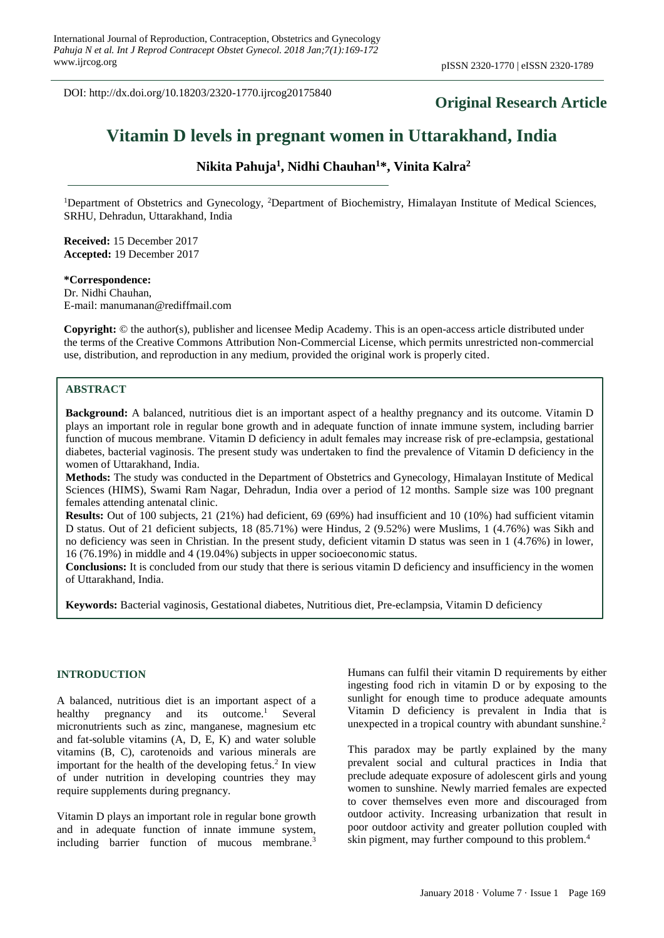DOI: http://dx.doi.org/10.18203/2320-1770.ijrcog20175840

# **Original Research Article**

# **Vitamin D levels in pregnant women in Uttarakhand, India**

**Nikita Pahuja<sup>1</sup> , Nidhi Chauhan<sup>1</sup>\*, Vinita Kalra<sup>2</sup>**

<sup>1</sup>Department of Obstetrics and Gynecology, <sup>2</sup>Department of Biochemistry, Himalayan Institute of Medical Sciences, SRHU, Dehradun, Uttarakhand, India

**Received:** 15 December 2017 **Accepted:** 19 December 2017

**\*Correspondence:** Dr. Nidhi Chauhan, E-mail: manumanan@rediffmail.com

**Copyright:** © the author(s), publisher and licensee Medip Academy. This is an open-access article distributed under the terms of the Creative Commons Attribution Non-Commercial License, which permits unrestricted non-commercial use, distribution, and reproduction in any medium, provided the original work is properly cited.

#### **ABSTRACT**

**Background:** A balanced, nutritious diet is an important aspect of a healthy pregnancy and its outcome. Vitamin D plays an important role in regular bone growth and in adequate function of innate immune system, including barrier function of mucous membrane. Vitamin D deficiency in adult females may increase risk of pre-eclampsia, gestational diabetes, bacterial vaginosis. The present study was undertaken to find the prevalence of Vitamin D deficiency in the women of Uttarakhand, India.

**Methods:** The study was conducted in the Department of Obstetrics and Gynecology, Himalayan Institute of Medical Sciences (HIMS), Swami Ram Nagar, Dehradun, India over a period of 12 months. Sample size was 100 pregnant females attending antenatal clinic.

**Results:** Out of 100 subjects, 21 (21%) had deficient, 69 (69%) had insufficient and 10 (10%) had sufficient vitamin D status. Out of 21 deficient subjects, 18 (85.71%) were Hindus, 2 (9.52%) were Muslims, 1 (4.76%) was Sikh and no deficiency was seen in Christian. In the present study, deficient vitamin D status was seen in 1 (4.76%) in lower, 16 (76.19%) in middle and 4 (19.04%) subjects in upper socioeconomic status.

**Conclusions:** It is concluded from our study that there is serious vitamin D deficiency and insufficiency in the women of Uttarakhand, India.

**Keywords:** Bacterial vaginosis, Gestational diabetes, Nutritious diet, Pre-eclampsia, Vitamin D deficiency

#### **INTRODUCTION**

A balanced, nutritious diet is an important aspect of a healthy pregnancy and its outcome.<sup>1</sup> Several micronutrients such as zinc, manganese, magnesium etc and fat-soluble vitamins (A, D, E, K) and water soluble vitamins (B, C), carotenoids and various minerals are important for the health of the developing fetus.<sup>2</sup> In view of under nutrition in developing countries they may require supplements during pregnancy.

Vitamin D plays an important role in regular bone growth and in adequate function of innate immune system, including barrier function of mucous membrane.<sup>3</sup>

Humans can fulfil their vitamin D requirements by either ingesting food rich in vitamin D or by exposing to the sunlight for enough time to produce adequate amounts Vitamin D deficiency is prevalent in India that is unexpected in a tropical country with abundant sunshine.<sup>2</sup>

This paradox may be partly explained by the many prevalent social and cultural practices in India that preclude adequate exposure of adolescent girls and young women to sunshine. Newly married females are expected to cover themselves even more and discouraged from outdoor activity. Increasing urbanization that result in poor outdoor activity and greater pollution coupled with skin pigment, may further compound to this problem. 4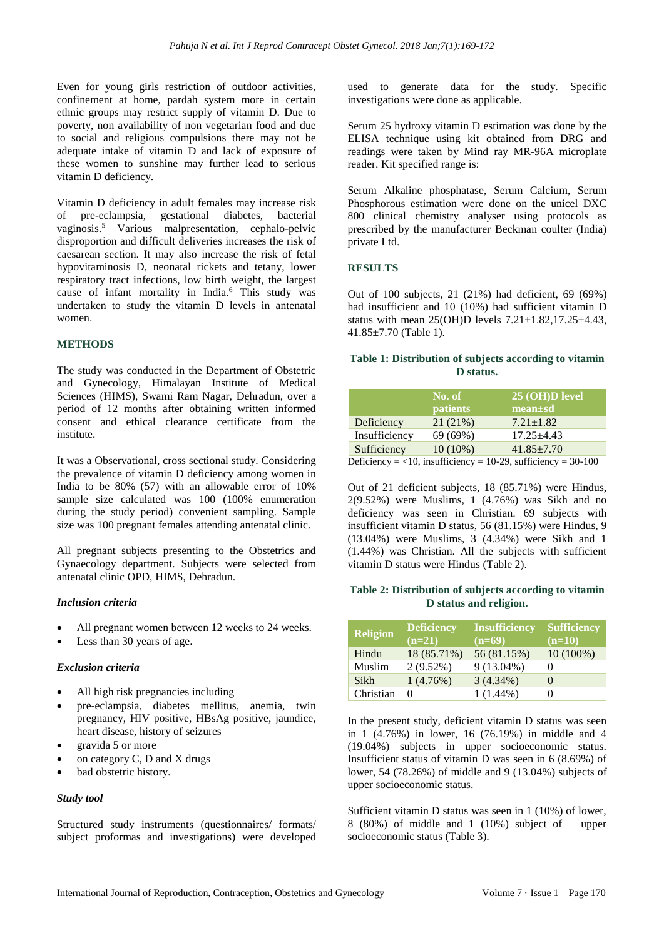Even for young girls restriction of outdoor activities, confinement at home, pardah system more in certain ethnic groups may restrict supply of vitamin D. Due to poverty, non availability of non vegetarian food and due to social and religious compulsions there may not be adequate intake of vitamin D and lack of exposure of these women to sunshine may further lead to serious vitamin D deficiency.

Vitamin D deficiency in adult females may increase risk of pre-eclampsia, gestational diabetes, bacterial vaginosis.<sup>5</sup> Various malpresentation, cephalo-pelvic disproportion and difficult deliveries increases the risk of caesarean section. It may also increase the risk of fetal hypovitaminosis D, neonatal rickets and tetany, lower respiratory tract infections, low birth weight, the largest cause of infant mortality in India.<sup>6</sup> This study was undertaken to study the vitamin D levels in antenatal women.

# **METHODS**

The study was conducted in the Department of Obstetric and Gynecology, Himalayan Institute of Medical Sciences (HIMS), Swami Ram Nagar, Dehradun, over a period of 12 months after obtaining written informed consent and ethical clearance certificate from the institute.

It was a Observational, cross sectional study. Considering the prevalence of vitamin D deficiency among women in India to be 80% (57) with an allowable error of 10% sample size calculated was 100 (100% enumeration during the study period) convenient sampling. Sample size was 100 pregnant females attending antenatal clinic.

All pregnant subjects presenting to the Obstetrics and Gynaecology department. Subjects were selected from antenatal clinic OPD, HIMS, Dehradun.

# *Inclusion criteria*

- All pregnant women between 12 weeks to 24 weeks.
- Less than 30 years of age.

#### *Exclusion criteria*

- All high risk pregnancies including
- pre-eclampsia, diabetes mellitus, anemia, twin pregnancy, HIV positive, HBsAg positive, jaundice, heart disease, history of seizures
- gravida 5 or more
- on category  $C$ ,  $D$  and  $X$  drugs
- bad obstetric history.

#### *Study tool*

Structured study instruments (questionnaires/ formats/ subject proformas and investigations) were developed used to generate data for the study. Specific investigations were done as applicable.

Serum 25 hydroxy vitamin D estimation was done by the ELISA technique using kit obtained from DRG and readings were taken by Mind ray MR-96A microplate reader. Kit specified range is:

Serum Alkaline phosphatase, Serum Calcium, Serum Phosphorous estimation were done on the unicel DXC 800 clinical chemistry analyser using protocols as prescribed by the manufacturer Beckman coulter (India) private Ltd.

# **RESULTS**

Out of 100 subjects, 21 (21%) had deficient, 69 (69%) had insufficient and 10 (10%) had sufficient vitamin D status with mean  $25(OH)D$  levels  $7.21 \pm 1.82,17.25 \pm 4.43$ , 41.85±7.70 (Table 1).

# **Table 1: Distribution of subjects according to vitamin D status.**

|               | No. of<br><b>patients</b> | $25 \, (OH)$ D level<br>$mean \pm sd$                            |
|---------------|---------------------------|------------------------------------------------------------------|
| Deficiency    | 21(21%)                   | $7.21 \pm 1.82$                                                  |
| Insufficiency | 69 (69%)                  | $17.25 \pm 4.43$                                                 |
| Sufficiency   | $10(10\%)$                | $41.85 \pm 7.70$                                                 |
|               |                           | Deficiency = $<$ 10, insufficiency = 10-29, sufficiency = 30-100 |

Out of 21 deficient subjects, 18 (85.71%) were Hindus, 2(9.52%) were Muslims, 1 (4.76%) was Sikh and no deficiency was seen in Christian. 69 subjects with insufficient vitamin D status, 56 (81.15%) were Hindus, 9 (13.04%) were Muslims, 3 (4.34%) were Sikh and 1 (1.44%) was Christian. All the subjects with sufficient vitamin D status were Hindus (Table 2).

#### **Table 2: Distribution of subjects according to vitamin D status and religion.**

| <b>Religion</b> | <b>Deficiency</b> | <b>Insufficiency</b> | <b>Sufficiency</b> |
|-----------------|-------------------|----------------------|--------------------|
|                 | $(n=21)$          | $(n=69)$             | $(n=10)$           |
| Hindu           | 18 (85.71%)       | 56 (81.15%)          | $10(100\%)$        |
| Muslim          | $2(9.52\%)$       | $9(13.04\%)$         | $\left( \right)$   |
| Sikh            | 1(4.76%)          | $3(4.34\%)$          | $\left( \right)$   |
| Christian       | $^{(1)}$          | $1(1.44\%)$          | $\mathbf{\Omega}$  |

In the present study, deficient vitamin D status was seen in 1 (4.76%) in lower, 16 (76.19%) in middle and 4 (19.04%) subjects in upper socioeconomic status. Insufficient status of vitamin D was seen in 6 (8.69%) of lower, 54 (78.26%) of middle and 9 (13.04%) subjects of upper socioeconomic status.

Sufficient vitamin D status was seen in 1 (10%) of lower, 8 (80%) of middle and 1 (10%) subject of upper socioeconomic status (Table 3).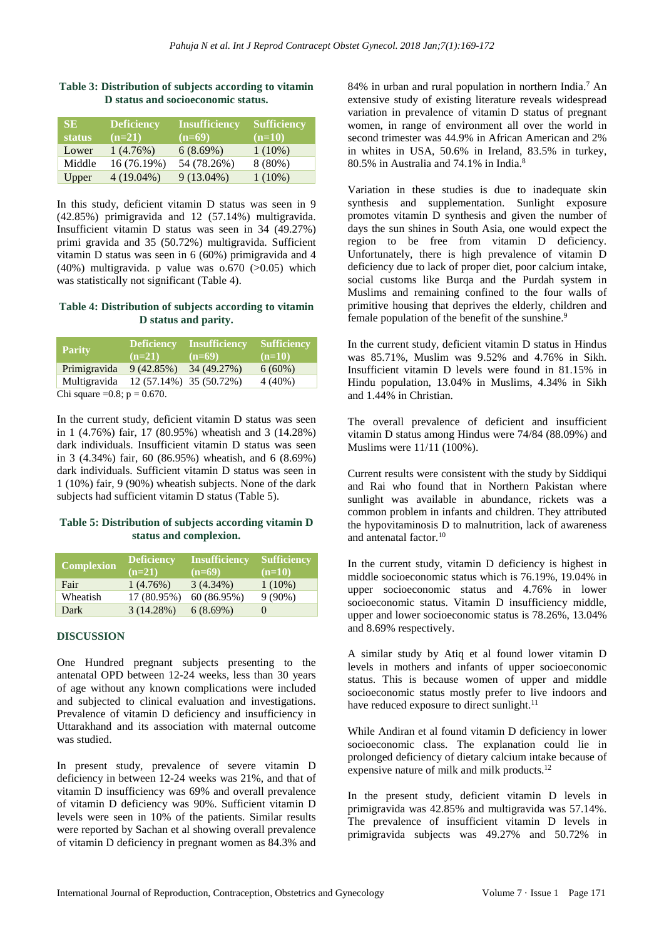| SE.           | <b>Deficiency</b> | Insufficiency | Sufficiency |
|---------------|-------------------|---------------|-------------|
| <b>status</b> | $(n=21)$          | $(n=69)$      | $(n=10)$    |
| Lower         | 1(4.76%)          | 6(8.69%)      | $1(10\%)$   |
| Middle        | 16 (76.19%)       | 54 (78.26%)   | $8(80\%)$   |
| Upper         | $4(19.04\%)$      | $9(13.04\%)$  | $1(10\%)$   |

#### **Table 3: Distribution of subjects according to vitamin D status and socioeconomic status.**

In this study, deficient vitamin D status was seen in 9 (42.85%) primigravida and 12 (57.14%) multigravida. Insufficient vitamin D status was seen in 34 (49.27%) primi gravida and 35 (50.72%) multigravida. Sufficient vitamin D status was seen in 6 (60%) primigravida and 4  $(40\%)$  multigravida. p value was  $0.670$  ( $>0.05$ ) which was statistically not significant (Table 4).

#### **Table 4: Distribution of subjects according to vitamin D status and parity.**

| <b>Parity</b>                   | Deficiency  <br>$(n=21)$ | <b>Insufficiency</b><br>$(n=69)$ | <b>Sufficiency</b><br>$(n=10)$ |
|---------------------------------|--------------------------|----------------------------------|--------------------------------|
| Primigravida                    | 9(42.85%)                | 34 (49.27%)                      | $6(60\%)$                      |
| Multigravida                    | 12 (57.14%) 35 (50.72%)  |                                  | $4(40\%)$                      |
| Chi square = 0.8; $p = 0.670$ . |                          |                                  |                                |

In the current study, deficient vitamin D status was seen in 1 (4.76%) fair, 17 (80.95%) wheatish and 3 (14.28%) dark individuals. Insufficient vitamin D status was seen in 3 (4.34%) fair, 60 (86.95%) wheatish, and 6 (8.69%) dark individuals. Sufficient vitamin D status was seen in 1 (10%) fair, 9 (90%) wheatish subjects. None of the dark subjects had sufficient vitamin D status (Table 5).

# **Table 5: Distribution of subjects according vitamin D status and complexion.**

| <b>Complexion</b> | <b>Deficiency</b><br>$(n=21)$ | <b>Insufficiency</b><br>$(n=69)$ | <b>Sufficiency</b><br>$(n=10)$ |
|-------------------|-------------------------------|----------------------------------|--------------------------------|
| Fair              | 1(4.76%)                      | $3(4.34\%)$                      | $1(10\%)$                      |
| Wheatish          | 17 (80.95%)                   | 60 (86.95%)                      | $9(90\%)$                      |
| Dark              | $3(14.28\%)$                  | $6(8.69\%)$                      |                                |

# **DISCUSSION**

One Hundred pregnant subjects presenting to the antenatal OPD between 12-24 weeks, less than 30 years of age without any known complications were included and subjected to clinical evaluation and investigations. Prevalence of vitamin D deficiency and insufficiency in Uttarakhand and its association with maternal outcome was studied.

In present study, prevalence of severe vitamin D deficiency in between 12-24 weeks was 21%, and that of vitamin D insufficiency was 69% and overall prevalence of vitamin D deficiency was 90%. Sufficient vitamin D levels were seen in 10% of the patients. Similar results were reported by Sachan et al showing overall prevalence of vitamin D deficiency in pregnant women as 84.3% and 84% in urban and rural population in northern India.<sup>7</sup> An extensive study of existing literature reveals widespread variation in prevalence of vitamin D status of pregnant women, in range of environment all over the world in second trimester was 44.9% in African American and 2% in whites in USA, 50.6% in Ireland, 83.5% in turkey, 80.5% in Australia and 74.1% in India.<sup>8</sup>

Variation in these studies is due to inadequate skin synthesis and supplementation. Sunlight exposure promotes vitamin D synthesis and given the number of days the sun shines in South Asia, one would expect the region to be free from vitamin D deficiency. Unfortunately, there is high prevalence of vitamin D deficiency due to lack of proper diet, poor calcium intake, social customs like Burqa and the Purdah system in Muslims and remaining confined to the four walls of primitive housing that deprives the elderly, children and female population of the benefit of the sunshine.<sup>9</sup>

In the current study, deficient vitamin D status in Hindus was 85.71%, Muslim was 9.52% and 4.76% in Sikh. Insufficient vitamin D levels were found in 81.15% in Hindu population, 13.04% in Muslims, 4.34% in Sikh and 1.44% in Christian.

The overall prevalence of deficient and insufficient vitamin D status among Hindus were 74/84 (88.09%) and Muslims were 11/11 (100%).

Current results were consistent with the study by Siddiqui and Rai who found that in Northern Pakistan where sunlight was available in abundance, rickets was a common problem in infants and children. They attributed the hypovitaminosis D to malnutrition, lack of awareness and antenatal factor.<sup>10</sup>

In the current study, vitamin D deficiency is highest in middle socioeconomic status which is 76.19%, 19.04% in upper socioeconomic status and 4.76% in lower socioeconomic status. Vitamin D insufficiency middle, upper and lower socioeconomic status is 78.26%, 13.04% and 8.69% respectively.

A similar study by Atiq et al found lower vitamin D levels in mothers and infants of upper socioeconomic status. This is because women of upper and middle socioeconomic status mostly prefer to live indoors and have reduced exposure to direct sunlight.<sup>11</sup>

While Andiran et al found vitamin D deficiency in lower socioeconomic class. The explanation could lie in prolonged deficiency of dietary calcium intake because of expensive nature of milk and milk products.<sup>12</sup>

In the present study, deficient vitamin D levels in primigravida was 42.85% and multigravida was 57.14%. The prevalence of insufficient vitamin D levels in primigravida subjects was 49.27% and 50.72% in